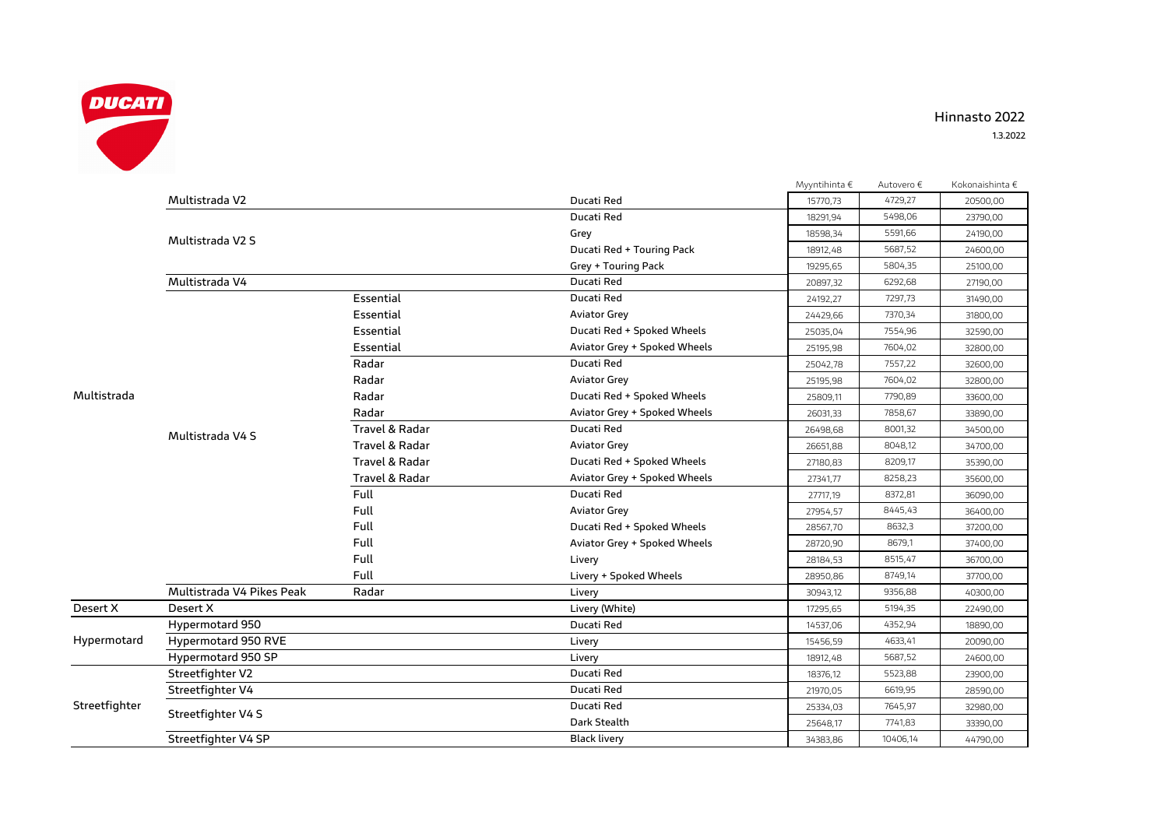

## **Hinnasto 2022**

|               |                           |                |                              | Myyntihinta € | Autovero € | Kokonaishinta € |
|---------------|---------------------------|----------------|------------------------------|---------------|------------|-----------------|
| Multistrada   | Multistrada V2            |                | Ducati Red                   | 15770,73      | 4729,27    | 20500,00        |
|               |                           |                | Ducati Red                   | 18291,94      | 5498,06    | 23790,00        |
|               | Multistrada V2 S          |                | Grey                         | 18598,34      | 5591,66    | 24190,00        |
|               |                           |                | Ducati Red + Touring Pack    | 18912,48      | 5687,52    | 24600,00        |
|               |                           |                | Grey + Touring Pack          | 19295,65      | 5804,35    | 25100,00        |
|               | Multistrada V4            |                | Ducati Red                   | 20897,32      | 6292,68    | 27190,00        |
|               | Multistrada V4 S          | Essential      | Ducati Red                   | 24192,27      | 7297,73    | 31490,00        |
|               |                           | Essential      | <b>Aviator Grey</b>          | 24429,66      | 7370,34    | 31800,00        |
|               |                           | Essential      | Ducati Red + Spoked Wheels   | 25035,04      | 7554,96    | 32590,00        |
|               |                           | Essential      | Aviator Grey + Spoked Wheels | 25195,98      | 7604,02    | 32800,00        |
|               |                           | Radar          | Ducati Red                   | 25042,78      | 7557,22    | 32600,00        |
|               |                           | Radar          | <b>Aviator Grey</b>          | 25195,98      | 7604,02    | 32800,00        |
|               |                           | Radar          | Ducati Red + Spoked Wheels   | 25809,11      | 7790,89    | 33600,00        |
|               |                           | Radar          | Aviator Grey + Spoked Wheels | 26031,33      | 7858,67    | 33890,00        |
|               |                           | Travel & Radar | Ducati Red                   | 26498,68      | 8001,32    | 34500,00        |
|               |                           | Travel & Radar | <b>Aviator Grey</b>          | 26651,88      | 8048,12    | 34700,00        |
|               |                           | Travel & Radar | Ducati Red + Spoked Wheels   | 27180,83      | 8209,17    | 35390,00        |
|               |                           | Travel & Radar | Aviator Grey + Spoked Wheels | 27341,77      | 8258,23    | 35600,00        |
|               |                           | Full           | Ducati Red                   | 27717,19      | 8372,81    | 36090,00        |
|               |                           | Full           | <b>Aviator Grey</b>          | 27954,57      | 8445,43    | 36400,00        |
|               |                           | Full           | Ducati Red + Spoked Wheels   | 28567,70      | 8632,3     | 37200,00        |
|               |                           | Full           | Aviator Grey + Spoked Wheels | 28720,90      | 8679,1     | 37400,00        |
|               |                           | Full           | Livery                       | 28184,53      | 8515,47    | 36700,00        |
|               |                           | Full           | Livery + Spoked Wheels       | 28950,86      | 8749,14    | 37700,00        |
|               | Multistrada V4 Pikes Peak | Radar          | Livery                       | 30943,12      | 9356,88    | 40300,00        |
| Desert X      | Desert X                  |                | Livery (White)               | 17295,65      | 5194,35    | 22490,00        |
| Hypermotard   | <b>Hypermotard 950</b>    |                | Ducati Red                   | 14537,06      | 4352,94    | 18890,00        |
|               | Hypermotard 950 RVE       |                | Livery                       | 15456,59      | 4633,41    | 20090,00        |
|               | Hypermotard 950 SP        |                | Livery                       | 18912,48      | 5687,52    | 24600,00        |
| Streetfighter | Streetfighter V2          |                | Ducati Red                   | 18376,12      | 5523,88    | 23900,00        |
|               | Streetfighter V4          |                | Ducati Red                   | 21970,05      | 6619,95    | 28590,00        |
|               | Streetfighter V4 S        |                | Ducati Red                   | 25334,03      | 7645,97    | 32980,00        |
|               |                           |                | Dark Stealth                 | 25648,17      | 7741,83    | 33390,00        |
|               | Streetfighter V4 SP       |                | <b>Black livery</b>          | 34383.86      | 10406,14   | 44790,00        |